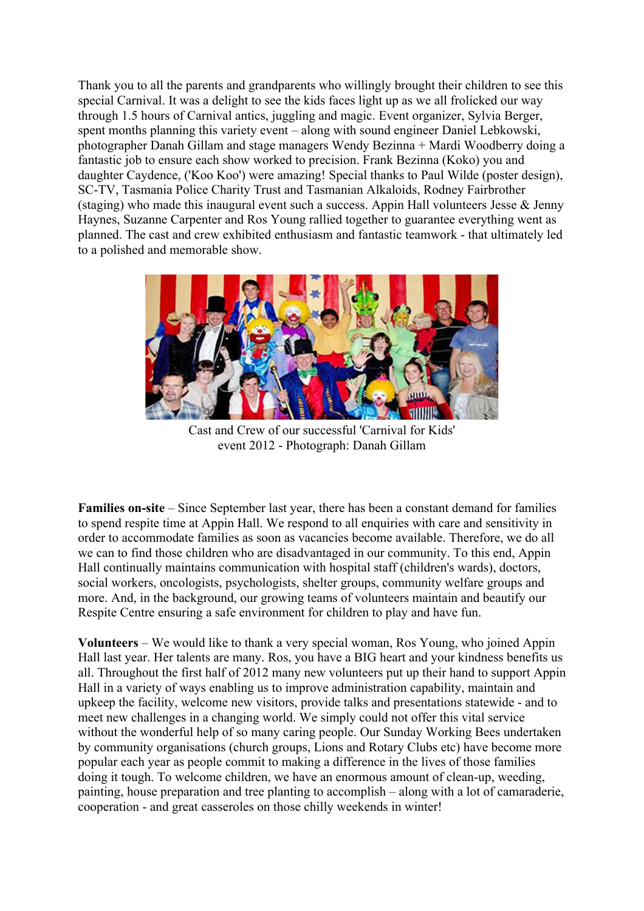Thank you to all the parents and grandparents who willingly brought their children to see this special Carnival. It was a delight to see the kids faces light up as we all frolicked our way through 1.5 hours of Carnival antics, juggling and magic. Event organizer, Sylvia Berger, spent months planning this variety event – along with sound engineer Daniel Lebkowski, photographer Danah Gillam and stage managers Wendy Bezinna + Mardi Woodberry doing a fantastic job to ensure each show worked to precision. Frank Bezinna (Koko) you and daughter Caydence, ('Koo Koo') were amazing! Special thanks to Paul Wilde (poster design), SC-TV, Tasmania Police Charity Trust and Tasmanian Alkaloids, Rodney Fairbrother (staging) who made this inaugural event such a success. Appin Hall volunteers Jesse & Jenny Haynes, Suzanne Carpenter and Ros Young rallied together to guarantee everything went as planned. The cast and crew exhibited enthusiasm and fantastic teamwork - that ultimately led to a polished and memorable show.



Cast and Crew of our successful 'Carnival for Kids' event 2012 - Photograph: Danah Gillam

**Families on-site** – Since September last year, there has been a constant demand for families to spend respite time at Appin Hall. We respond to all enquiries with care and sensitivity in order to accommodate families as soon as vacancies become available. Therefore, we do all we can to find those children who are disadvantaged in our community. To this end, Appin Hall continually maintains communication with hospital staff (children's wards), doctors, social workers, oncologists, psychologists, shelter groups, community welfare groups and more. And, in the background, our growing teams of volunteers maintain and beautify our Respite Centre ensuring a safe environment for children to play and have fun.

**Volunteers** – We would like to thank a very special woman, Ros Young, who joined Appin Hall last year. Her talents are many. Ros, you have a BIG heart and your kindness benefits us all. Throughout the first half of 2012 many new volunteers put up their hand to support Appin Hall in a variety of ways enabling us to improve administration capability, maintain and upkeep the facility, welcome new visitors, provide talks and presentations statewide - and to meet new challenges in a changing world. We simply could not offer this vital service without the wonderful help of so many caring people. Our Sunday Working Bees undertaken by community organisations (church groups, Lions and Rotary Clubs etc) have become more popular each year as people commit to making a difference in the lives of those families doing it tough. To welcome children, we have an enormous amount of clean-up, weeding, painting, house preparation and tree planting to accomplish – along with a lot of camaraderie, cooperation - and great casseroles on those chilly weekends in winter!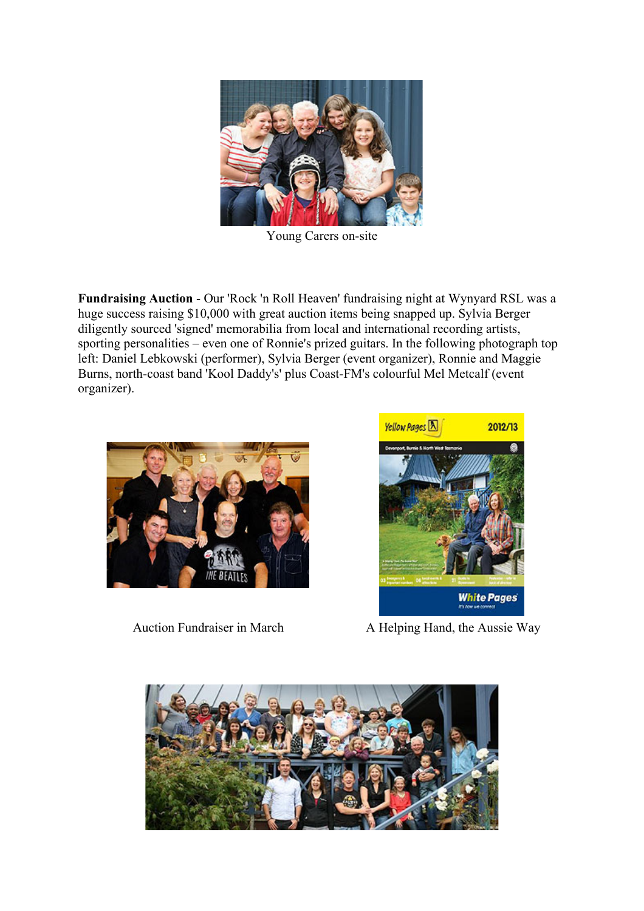

Young Carers on-site

**Fundraising Auction** - Our 'Rock 'n Roll Heaven' fundraising night at Wynyard RSL was a huge success raising \$10,000 with great auction items being snapped up. Sylvia Berger diligently sourced 'signed' memorabilia from local and international recording artists, sporting personalities – even one of Ronnie's prized guitars. In the following photograph top left: Daniel Lebkowski (performer), Sylvia Berger (event organizer), Ronnie and Maggie Burns, north-coast band 'Kool Daddy's' plus Coast-FM's colourful Mel Metcalf (event organizer).





Auction Fundraiser in March A Helping Hand, the Aussie Way

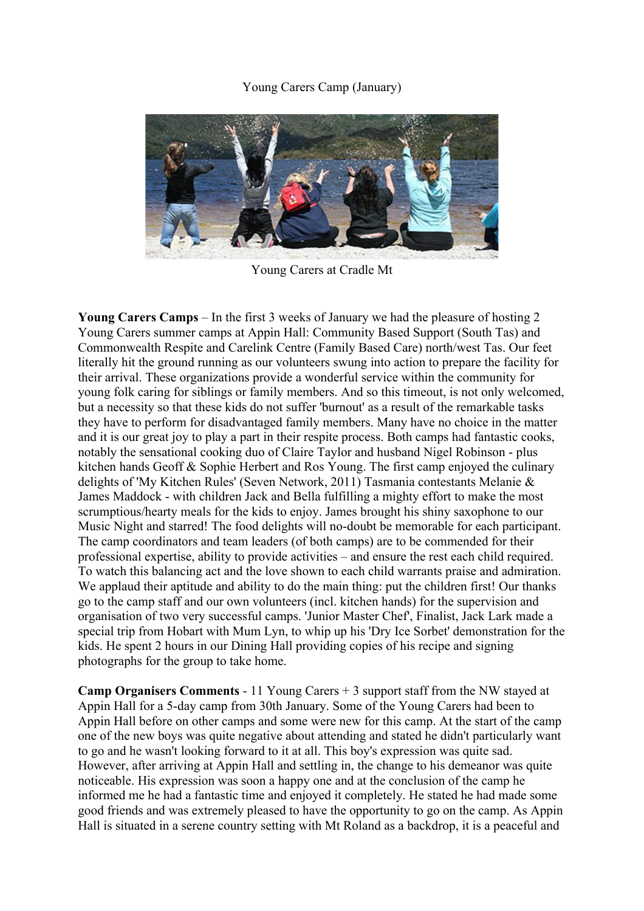## Young Carers Camp (January)



Young Carers at Cradle Mt

**Young Carers Camps** – In the first 3 weeks of January we had the pleasure of hosting 2 Young Carers summer camps at Appin Hall: Community Based Support (South Tas) and Commonwealth Respite and Carelink Centre (Family Based Care) north/west Tas. Our feet literally hit the ground running as our volunteers swung into action to prepare the facility for their arrival. These organizations provide a wonderful service within the community for young folk caring for siblings or family members. And so this timeout, is not only welcomed, but a necessity so that these kids do not suffer 'burnout' as a result of the remarkable tasks they have to perform for disadvantaged family members. Many have no choice in the matter and it is our great joy to play a part in their respite process. Both camps had fantastic cooks, notably the sensational cooking duo of Claire Taylor and husband Nigel Robinson - plus kitchen hands Geoff & Sophie Herbert and Ros Young. The first camp enjoyed the culinary delights of 'My Kitchen Rules' (Seven Network, 2011) Tasmania contestants Melanie & James Maddock - with children Jack and Bella fulfilling a mighty effort to make the most scrumptious/hearty meals for the kids to enjoy. James brought his shiny saxophone to our Music Night and starred! The food delights will no-doubt be memorable for each participant. The camp coordinators and team leaders (of both camps) are to be commended for their professional expertise, ability to provide activities – and ensure the rest each child required. To watch this balancing act and the love shown to each child warrants praise and admiration. We applaud their aptitude and ability to do the main thing: put the children first! Our thanks go to the camp staff and our own volunteers (incl. kitchen hands) for the supervision and organisation of two very successful camps. 'Junior Master Chef', Finalist, Jack Lark made a special trip from Hobart with Mum Lyn, to whip up his 'Dry Ice Sorbet' demonstration for the kids. He spent 2 hours in our Dining Hall providing copies of his recipe and signing photographs for the group to take home.

**Camp Organisers Comments** - 11 Young Carers + 3 support staff from the NW stayed at Appin Hall for a 5-day camp from 30th January. Some of the Young Carers had been to Appin Hall before on other camps and some were new for this camp. At the start of the camp one of the new boys was quite negative about attending and stated he didn't particularly want to go and he wasn't looking forward to it at all. This boy's expression was quite sad. However, after arriving at Appin Hall and settling in, the change to his demeanor was quite noticeable. His expression was soon a happy one and at the conclusion of the camp he informed me he had a fantastic time and enjoyed it completely. He stated he had made some good friends and was extremely pleased to have the opportunity to go on the camp. As Appin Hall is situated in a serene country setting with Mt Roland as a backdrop, it is a peaceful and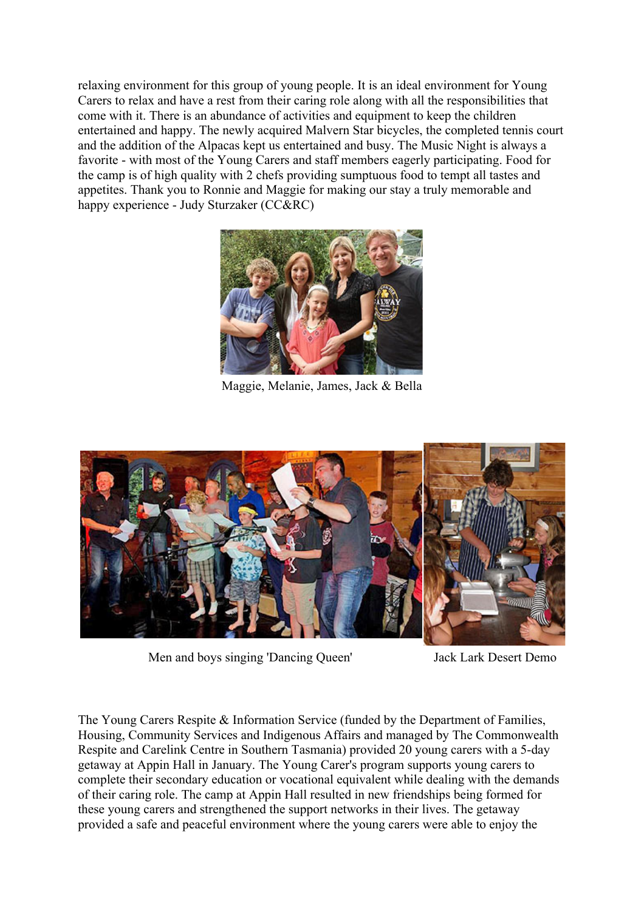relaxing environment for this group of young people. It is an ideal environment for Young Carers to relax and have a rest from their caring role along with all the responsibilities that come with it. There is an abundance of activities and equipment to keep the children entertained and happy. The newly acquired Malvern Star bicycles, the completed tennis court and the addition of the Alpacas kept us entertained and busy. The Music Night is always a favorite - with most of the Young Carers and staff members eagerly participating. Food for the camp is of high quality with 2 chefs providing sumptuous food to tempt all tastes and appetites. Thank you to Ronnie and Maggie for making our stay a truly memorable and happy experience - Judy Sturzaker (CC&RC)



Maggie, Melanie, James, Jack & Bella



Men and boys singing 'Dancing Queen' Jack Lark Desert Demo

The Young Carers Respite & Information Service (funded by the Department of Families, Housing, Community Services and Indigenous Affairs and managed by The Commonwealth Respite and Carelink Centre in Southern Tasmania) provided 20 young carers with a 5-day getaway at Appin Hall in January. The Young Carer's program supports young carers to complete their secondary education or vocational equivalent while dealing with the demands of their caring role. The camp at Appin Hall resulted in new friendships being formed for these young carers and strengthened the support networks in their lives. The getaway provided a safe and peaceful environment where the young carers were able to enjoy the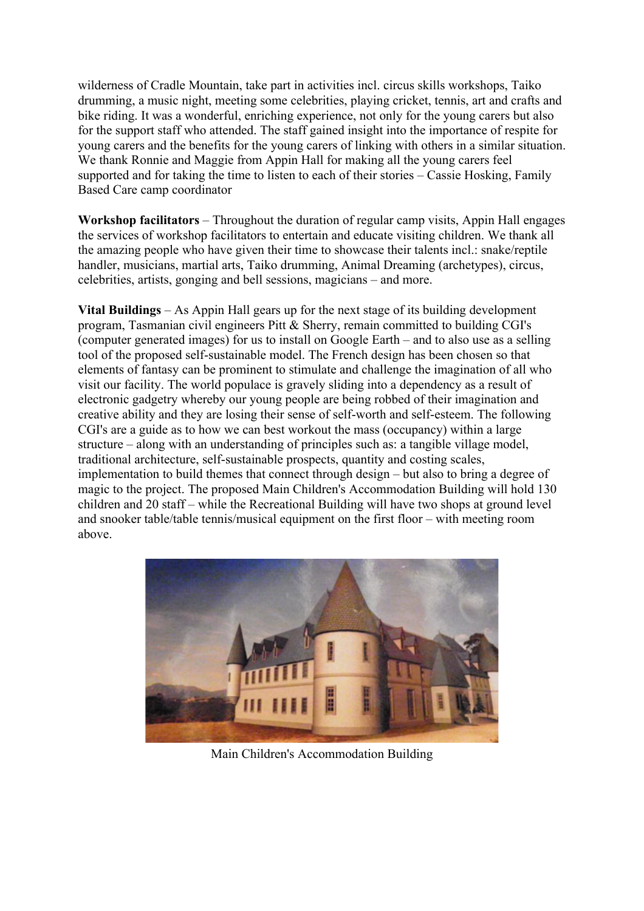wilderness of Cradle Mountain, take part in activities incl. circus skills workshops, Taiko drumming, a music night, meeting some celebrities, playing cricket, tennis, art and crafts and bike riding. It was a wonderful, enriching experience, not only for the young carers but also for the support staff who attended. The staff gained insight into the importance of respite for young carers and the benefits for the young carers of linking with others in a similar situation. We thank Ronnie and Maggie from Appin Hall for making all the young carers feel supported and for taking the time to listen to each of their stories – Cassie Hosking, Family Based Care camp coordinator

**Workshop facilitators** – Throughout the duration of regular camp visits, Appin Hall engages the services of workshop facilitators to entertain and educate visiting children. We thank all the amazing people who have given their time to showcase their talents incl.: snake/reptile handler, musicians, martial arts, Taiko drumming, Animal Dreaming (archetypes), circus, celebrities, artists, gonging and bell sessions, magicians – and more.

**Vital Buildings** – As Appin Hall gears up for the next stage of its building development program, Tasmanian civil engineers Pitt & Sherry, remain committed to building CGI's (computer generated images) for us to install on Google Earth – and to also use as a selling tool of the proposed self-sustainable model. The French design has been chosen so that elements of fantasy can be prominent to stimulate and challenge the imagination of all who visit our facility. The world populace is gravely sliding into a dependency as a result of electronic gadgetry whereby our young people are being robbed of their imagination and creative ability and they are losing their sense of self-worth and self-esteem. The following CGI's are a guide as to how we can best workout the mass (occupancy) within a large structure – along with an understanding of principles such as: a tangible village model, traditional architecture, self-sustainable prospects, quantity and costing scales, implementation to build themes that connect through design – but also to bring a degree of magic to the project. The proposed Main Children's Accommodation Building will hold 130 children and 20 staff – while the Recreational Building will have two shops at ground level and snooker table/table tennis/musical equipment on the first floor – with meeting room above.



Main Children's Accommodation Building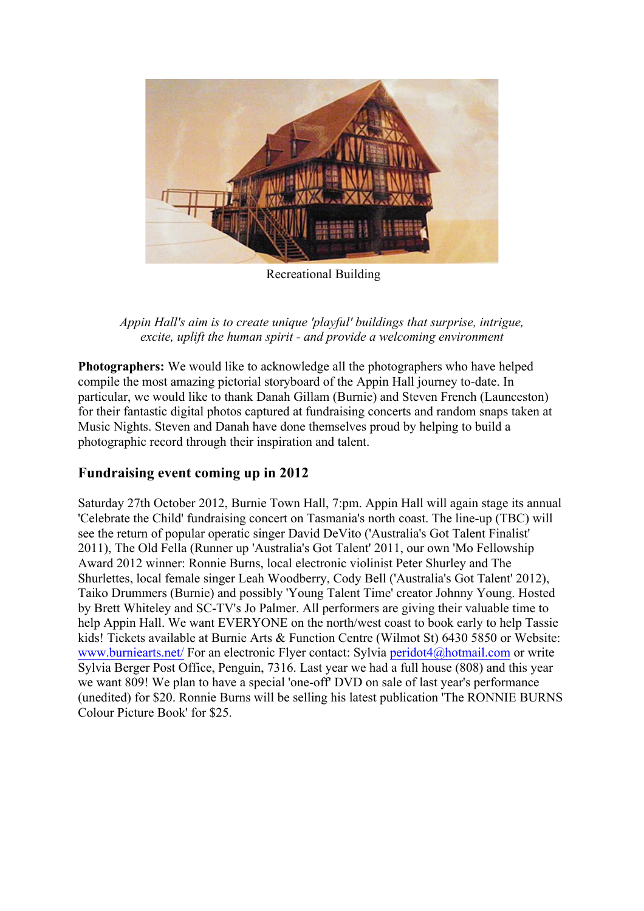

Recreational Building

*Appin Hall's aim is to create unique 'playful' buildings that surprise, intrigue, excite, uplift the human spirit - and provide a welcoming environment*

**Photographers:** We would like to acknowledge all the photographers who have helped compile the most amazing pictorial storyboard of the Appin Hall journey to-date. In particular, we would like to thank Danah Gillam (Burnie) and Steven French (Launceston) for their fantastic digital photos captured at fundraising concerts and random snaps taken at Music Nights. Steven and Danah have done themselves proud by helping to build a photographic record through their inspiration and talent.

## **Fundraising event coming up in 2012**

Saturday 27th October 2012, Burnie Town Hall, 7:pm. Appin Hall will again stage its annual 'Celebrate the Child' fundraising concert on Tasmania's north coast. The line-up (TBC) will see the return of popular operatic singer David DeVito ('Australia's Got Talent Finalist' 2011), The Old Fella (Runner up 'Australia's Got Talent' 2011, our own 'Mo Fellowship Award 2012 winner: Ronnie Burns, local electronic violinist Peter Shurley and The Shurlettes, local female singer Leah Woodberry, Cody Bell ('Australia's Got Talent' 2012), Taiko Drummers (Burnie) and possibly 'Young Talent Time' creator Johnny Young. Hosted by Brett Whiteley and SC-TV's Jo Palmer. All performers are giving their valuable time to help Appin Hall. We want EVERYONE on the north/west coast to book early to help Tassie kids! Tickets available at Burnie Arts & Function Centre (Wilmot St) 6430 5850 or Website: www.burniearts.net/ For an electronic Flyer contact: Sylvia peridot4@hotmail.com or write Sylvia Berger Post Office, Penguin, 7316. Last year we had a full house (808) and this year we want 809! We plan to have a special 'one-off' DVD on sale of last year's performance (unedited) for \$20. Ronnie Burns will be selling his latest publication 'The RONNIE BURNS Colour Picture Book' for \$25.